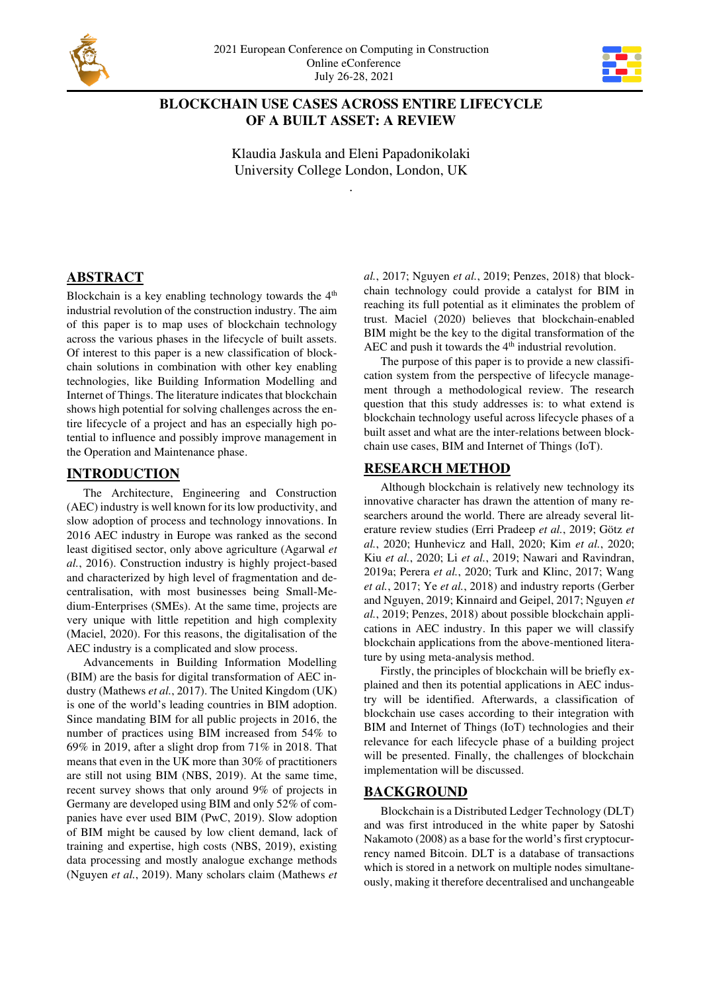



# **BLOCKCHAIN USE CASES ACROSS ENTIRE LIFECYCLE OF A BUILT ASSET: A REVIEW**

Klaudia Jaskula and Eleni Papadonikolaki University College London, London, UK

.

# **ABSTRACT**

Blockchain is a key enabling technology towards the  $4<sup>th</sup>$ industrial revolution of the construction industry. The aim of this paper is to map uses of blockchain technology across the various phases in the lifecycle of built assets. Of interest to this paper is a new classification of blockchain solutions in combination with other key enabling technologies, like Building Information Modelling and Internet of Things. The literature indicates that blockchain shows high potential for solving challenges across the entire lifecycle of a project and has an especially high potential to influence and possibly improve management in the Operation and Maintenance phase.

# **INTRODUCTION**

The Architecture, Engineering and Construction (AEC) industry is well known for its low productivity, and slow adoption of process and technology innovations. In 2016 AEC industry in Europe was ranked as the second least digitised sector, only above agriculture (Agarwal *et al.*, 2016). Construction industry is highly project-based and characterized by high level of fragmentation and decentralisation, with most businesses being Small-Medium-Enterprises (SMEs). At the same time, projects are very unique with little repetition and high complexity (Maciel, 2020). For this reasons, the digitalisation of the AEC industry is a complicated and slow process.

Advancements in Building Information Modelling (BIM) are the basis for digital transformation of AEC industry (Mathews *et al.*, 2017). The United Kingdom (UK) is one of the world's leading countries in BIM adoption. Since mandating BIM for all public projects in 2016, the number of practices using BIM increased from 54% to 69% in 2019, after a slight drop from 71% in 2018. That means that even in the UK more than 30% of practitioners are still not using BIM (NBS, 2019). At the same time, recent survey shows that only around 9% of projects in Germany are developed using BIM and only 52% of companies have ever used BIM (PwC, 2019). Slow adoption of BIM might be caused by low client demand, lack of training and expertise, high costs (NBS, 2019), existing data processing and mostly analogue exchange methods (Nguyen *et al.*, 2019). Many scholars claim (Mathews *et*  *al.*, 2017; Nguyen *et al.*, 2019; Penzes, 2018) that blockchain technology could provide a catalyst for BIM in reaching its full potential as it eliminates the problem of trust. Maciel (2020) believes that blockchain-enabled BIM might be the key to the digital transformation of the AEC and push it towards the  $4<sup>th</sup>$  industrial revolution.

The purpose of this paper is to provide a new classification system from the perspective of lifecycle management through a methodological review. The research question that this study addresses is: to what extend is blockchain technology useful across lifecycle phases of a built asset and what are the inter-relations between blockchain use cases, BIM and Internet of Things (IoT).

# **RESEARCH METHOD**

Although blockchain is relatively new technology its innovative character has drawn the attention of many researchers around the world. There are already several literature review studies (Erri Pradeep *et al.*, 2019; Götz *et al.*, 2020; Hunhevicz and Hall, 2020; Kim *et al.*, 2020; Kiu *et al.*, 2020; Li *et al.*, 2019; Nawari and Ravindran, 2019a; Perera *et al.*, 2020; Turk and Klinc, 2017; Wang *et al.*, 2017; Ye *et al.*, 2018) and industry reports (Gerber and Nguyen, 2019; Kinnaird and Geipel, 2017; Nguyen *et al.*, 2019; Penzes, 2018) about possible blockchain applications in AEC industry. In this paper we will classify blockchain applications from the above-mentioned literature by using meta-analysis method.

Firstly, the principles of blockchain will be briefly explained and then its potential applications in AEC industry will be identified. Afterwards, a classification of blockchain use cases according to their integration with BIM and Internet of Things (IoT) technologies and their relevance for each lifecycle phase of a building project will be presented. Finally, the challenges of blockchain implementation will be discussed.

# **BACKGROUND**

Blockchain is a Distributed Ledger Technology (DLT) and was first introduced in the white paper by Satoshi Nakamoto (2008) as a base for the world's first cryptocurrency named Bitcoin. DLT is a database of transactions which is stored in a network on multiple nodes simultaneously, making it therefore decentralised and unchangeable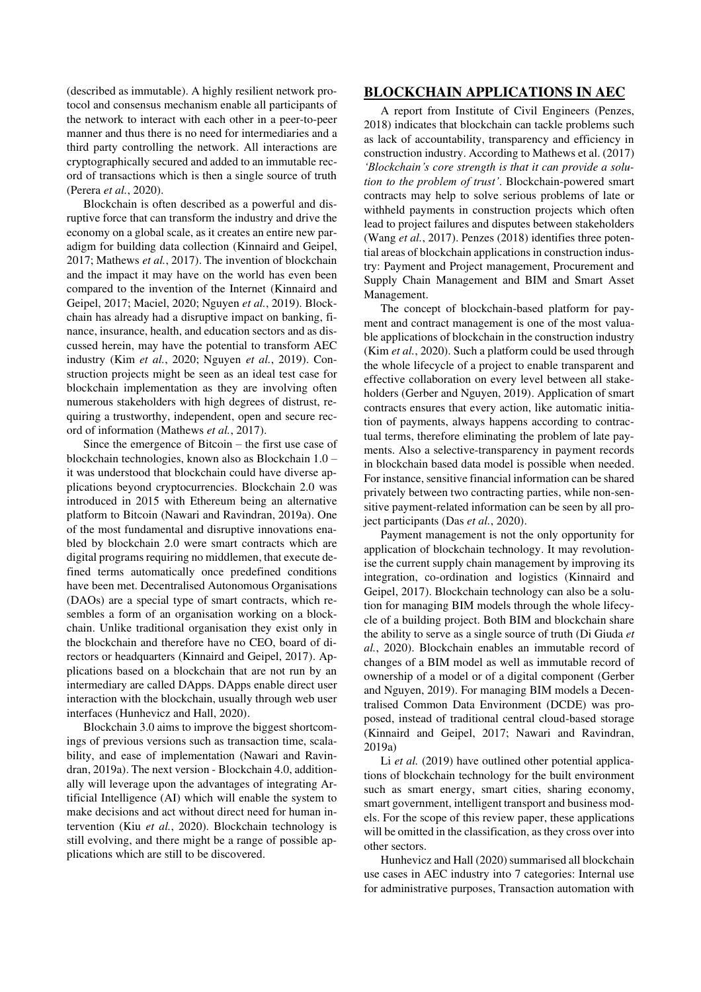(described as immutable). A highly resilient network protocol and consensus mechanism enable all participants of the network to interact with each other in a peer-to-peer manner and thus there is no need for intermediaries and a third party controlling the network. All interactions are cryptographically secured and added to an immutable record of transactions which is then a single source of truth (Perera *et al.*, 2020).

Blockchain is often described as a powerful and disruptive force that can transform the industry and drive the economy on a global scale, as it creates an entire new paradigm for building data collection (Kinnaird and Geipel, 2017; Mathews *et al.*, 2017). The invention of blockchain and the impact it may have on the world has even been compared to the invention of the Internet (Kinnaird and Geipel, 2017; Maciel, 2020; Nguyen *et al.*, 2019). Blockchain has already had a disruptive impact on banking, finance, insurance, health, and education sectors and as discussed herein, may have the potential to transform AEC industry (Kim *et al.*, 2020; Nguyen *et al.*, 2019). Construction projects might be seen as an ideal test case for blockchain implementation as they are involving often numerous stakeholders with high degrees of distrust, requiring a trustworthy, independent, open and secure record of information (Mathews *et al.*, 2017).

Since the emergence of Bitcoin – the first use case of blockchain technologies, known also as Blockchain 1.0 – it was understood that blockchain could have diverse applications beyond cryptocurrencies. Blockchain 2.0 was introduced in 2015 with Ethereum being an alternative platform to Bitcoin (Nawari and Ravindran, 2019a). One of the most fundamental and disruptive innovations enabled by blockchain 2.0 were smart contracts which are digital programs requiring no middlemen, that execute defined terms automatically once predefined conditions have been met. Decentralised Autonomous Organisations (DAOs) are a special type of smart contracts, which resembles a form of an organisation working on a blockchain. Unlike traditional organisation they exist only in the blockchain and therefore have no CEO, board of directors or headquarters (Kinnaird and Geipel, 2017). Applications based on a blockchain that are not run by an intermediary are called DApps. DApps enable direct user interaction with the blockchain, usually through web user interfaces (Hunhevicz and Hall, 2020).

Blockchain 3.0 aims to improve the biggest shortcomings of previous versions such as transaction time, scalability, and ease of implementation (Nawari and Ravindran, 2019a). The next version - Blockchain 4.0, additionally will leverage upon the advantages of integrating Artificial Intelligence (AI) which will enable the system to make decisions and act without direct need for human intervention (Kiu *et al.*, 2020). Blockchain technology is still evolving, and there might be a range of possible applications which are still to be discovered.

## **BLOCKCHAIN APPLICATIONS IN AEC**

A report from Institute of Civil Engineers (Penzes, 2018) indicates that blockchain can tackle problems such as lack of accountability, transparency and efficiency in construction industry. According to Mathews et al. (2017) *'Blockchain's core strength is that it can provide a solution to the problem of trust'*. Blockchain-powered smart contracts may help to solve serious problems of late or withheld payments in construction projects which often lead to project failures and disputes between stakeholders (Wang *et al.*, 2017). Penzes (2018) identifies three potential areas of blockchain applications in construction industry: Payment and Project management, Procurement and Supply Chain Management and BIM and Smart Asset Management.

The concept of blockchain-based platform for payment and contract management is one of the most valuable applications of blockchain in the construction industry (Kim *et al.*, 2020). Such a platform could be used through the whole lifecycle of a project to enable transparent and effective collaboration on every level between all stakeholders (Gerber and Nguyen, 2019). Application of smart contracts ensures that every action, like automatic initiation of payments, always happens according to contractual terms, therefore eliminating the problem of late payments. Also a selective-transparency in payment records in blockchain based data model is possible when needed. For instance, sensitive financial information can be shared privately between two contracting parties, while non-sensitive payment-related information can be seen by all project participants (Das *et al.*, 2020).

Payment management is not the only opportunity for application of blockchain technology. It may revolutionise the current supply chain management by improving its integration, co-ordination and logistics (Kinnaird and Geipel, 2017). Blockchain technology can also be a solution for managing BIM models through the whole lifecycle of a building project. Both BIM and blockchain share the ability to serve as a single source of truth (Di Giuda *et al.*, 2020). Blockchain enables an immutable record of changes of a BIM model as well as immutable record of ownership of a model or of a digital component (Gerber and Nguyen, 2019). For managing BIM models a Decentralised Common Data Environment (DCDE) was proposed, instead of traditional central cloud-based storage (Kinnaird and Geipel, 2017; Nawari and Ravindran, 2019a)

Li *et al.* (2019) have outlined other potential applications of blockchain technology for the built environment such as smart energy, smart cities, sharing economy, smart government, intelligent transport and business models. For the scope of this review paper, these applications will be omitted in the classification, as they cross over into other sectors.

Hunhevicz and Hall (2020) summarised all blockchain use cases in AEC industry into 7 categories: Internal use for administrative purposes, Transaction automation with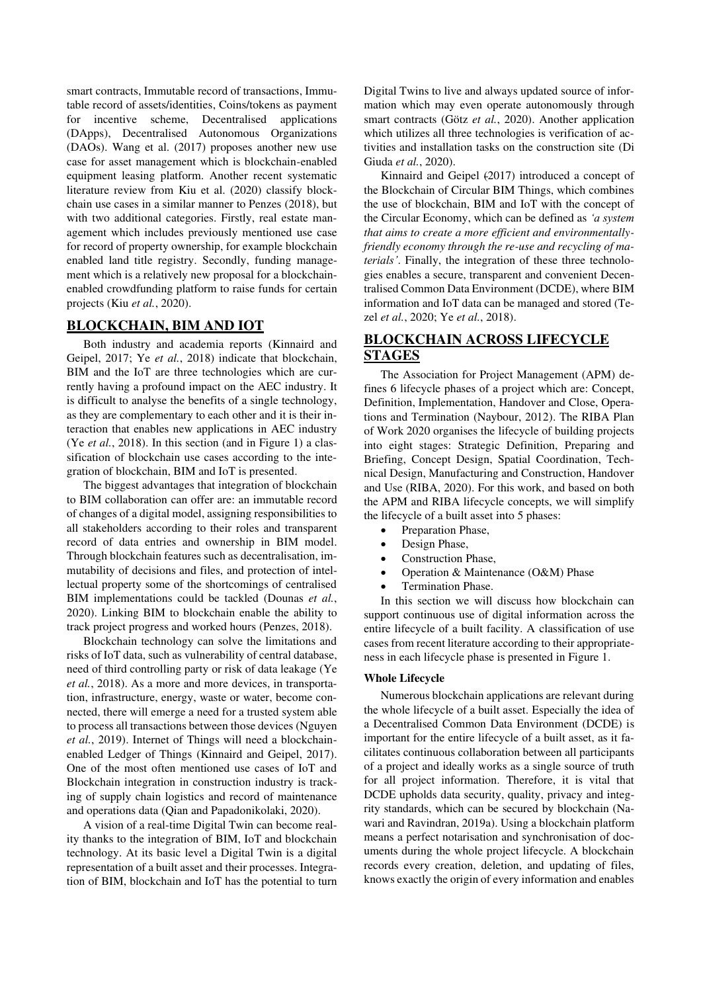smart contracts, Immutable record of transactions, Immutable record of assets/identities, Coins/tokens as payment for incentive scheme, Decentralised applications (DApps), Decentralised Autonomous Organizations (DAOs). Wang et al. (2017) proposes another new use case for asset management which is blockchain-enabled equipment leasing platform. Another recent systematic literature review from Kiu et al. (2020) classify blockchain use cases in a similar manner to Penzes (2018), but with two additional categories. Firstly, real estate management which includes previously mentioned use case for record of property ownership, for example blockchain enabled land title registry. Secondly, funding management which is a relatively new proposal for a blockchainenabled crowdfunding platform to raise funds for certain projects (Kiu *et al.*, 2020).

### **BLOCKCHAIN, BIM AND IOT**

Both industry and academia reports (Kinnaird and Geipel, 2017; Ye *et al.*, 2018) indicate that blockchain, BIM and the IoT are three technologies which are currently having a profound impact on the AEC industry. It is difficult to analyse the benefits of a single technology, as they are complementary to each other and it is their interaction that enables new applications in AEC industry (Ye *et al.*, 2018). In this section (and in Figure 1) a classification of blockchain use cases according to the integration of blockchain, BIM and IoT is presented.

The biggest advantages that integration of blockchain to BIM collaboration can offer are: an immutable record of changes of a digital model, assigning responsibilities to all stakeholders according to their roles and transparent record of data entries and ownership in BIM model. Through blockchain features such as decentralisation, immutability of decisions and files, and protection of intellectual property some of the shortcomings of centralised BIM implementations could be tackled (Dounas *et al.*, 2020). Linking BIM to blockchain enable the ability to track project progress and worked hours (Penzes, 2018).

Blockchain technology can solve the limitations and risks of IoT data, such as vulnerability of central database, need of third controlling party or risk of data leakage (Ye *et al.*, 2018). As a more and more devices, in transportation, infrastructure, energy, waste or water, become connected, there will emerge a need for a trusted system able to process all transactions between those devices (Nguyen *et al.*, 2019). Internet of Things will need a blockchainenabled Ledger of Things (Kinnaird and Geipel, 2017). One of the most often mentioned use cases of IoT and Blockchain integration in construction industry is tracking of supply chain logistics and record of maintenance and operations data (Qian and Papadonikolaki, 2020).

A vision of a real-time Digital Twin can become reality thanks to the integration of BIM, IoT and blockchain technology. At its basic level a Digital Twin is a digital representation of a built asset and their processes. Integration of BIM, blockchain and IoT has the potential to turn

Digital Twins to live and always updated source of information which may even operate autonomously through smart contracts (Götz *et al.*, 2020). Another application which utilizes all three technologies is verification of activities and installation tasks on the construction site (Di Giuda *et al.*, 2020).

Kinnaird and Geipel (2017) introduced a concept of the Blockchain of Circular BIM Things, which combines the use of blockchain, BIM and IoT with the concept of the Circular Economy, which can be defined as *'a system that aims to create a more efficient and environmentallyfriendly economy through the re-use and recycling of materials'*. Finally, the integration of these three technologies enables a secure, transparent and convenient Decentralised Common Data Environment (DCDE), where BIM information and IoT data can be managed and stored (Tezel *et al.*, 2020; Ye *et al.*, 2018).

# **BLOCKCHAIN ACROSS LIFECYCLE STAGES**

The Association for Project Management (APM) defines 6 lifecycle phases of a project which are: Concept, Definition, Implementation, Handover and Close, Operations and Termination (Naybour, 2012). The RIBA Plan of Work 2020 organises the lifecycle of building projects into eight stages: Strategic Definition, Preparing and Briefing, Concept Design, Spatial Coordination, Technical Design, Manufacturing and Construction, Handover and Use (RIBA, 2020). For this work, and based on both the APM and RIBA lifecycle concepts, we will simplify the lifecycle of a built asset into 5 phases:

- Preparation Phase,
- Design Phase,
- Construction Phase,
- Operation & Maintenance (O&M) Phase
- Termination Phase.

In this section we will discuss how blockchain can support continuous use of digital information across the entire lifecycle of a built facility. A classification of use cases from recent literature according to their appropriateness in each lifecycle phase is presented in [Figure 1](#page-3-0).

### **Whole Lifecycle**

Numerous blockchain applications are relevant during the whole lifecycle of a built asset. Especially the idea of a Decentralised Common Data Environment (DCDE) is important for the entire lifecycle of a built asset, as it facilitates continuous collaboration between all participants of a project and ideally works as a single source of truth for all project information. Therefore, it is vital that DCDE upholds data security, quality, privacy and integrity standards, which can be secured by blockchain (Nawari and Ravindran, 2019a). Using a blockchain platform means a perfect notarisation and synchronisation of documents during the whole project lifecycle. A blockchain records every creation, deletion, and updating of files, knows exactly the origin of every information and enables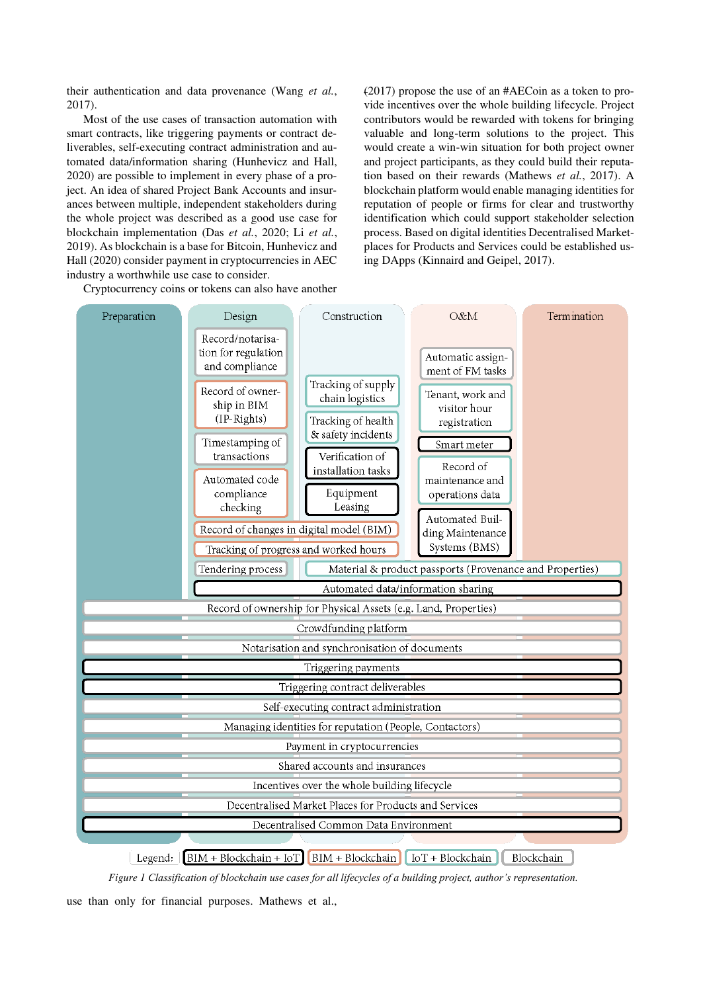their authentication and data provenance (Wang *et al.*, 2017).

Most of the use cases of transaction automation with smart contracts, like triggering payments or contract deliverables, self-executing contract administration and automated data/information sharing (Hunhevicz and Hall, 2020) are possible to implement in every phase of a project. An idea of shared Project Bank Accounts and insurances between multiple, independent stakeholders during the whole project was described as a good use case for blockchain implementation (Das *et al.*, 2020; Li *et al.*, 2019). As blockchain is a base for Bitcoin, Hunhevicz and Hall (2020) consider payment in cryptocurrencies in AEC industry a worthwhile use case to consider.

Cryptocurrency coins or tokens can also have another

(2017) propose the use of an #AECoin as a token to provide incentives over the whole building lifecycle. Project contributors would be rewarded with tokens for bringing valuable and long-term solutions to the project. This would create a win-win situation for both project owner and project participants, as they could build their reputation based on their rewards (Mathews *et al.*, 2017). A blockchain platform would enable managing identities for reputation of people or firms for clear and trustworthy identification which could support stakeholder selection process. Based on digital identities Decentralised Marketplaces for Products and Services could be established using DApps (Kinnaird and Geipel, 2017).



 $[BIM + Blockchain + IoT] [BIM + Blockchain] [IoT + Blockchain]$ Legend: Blockchain

*Figure 1 Classification of blockchain use cases for all lifecycles of a building project, author's representation.*

<span id="page-3-0"></span>use than only for financial purposes. Mathews et al.,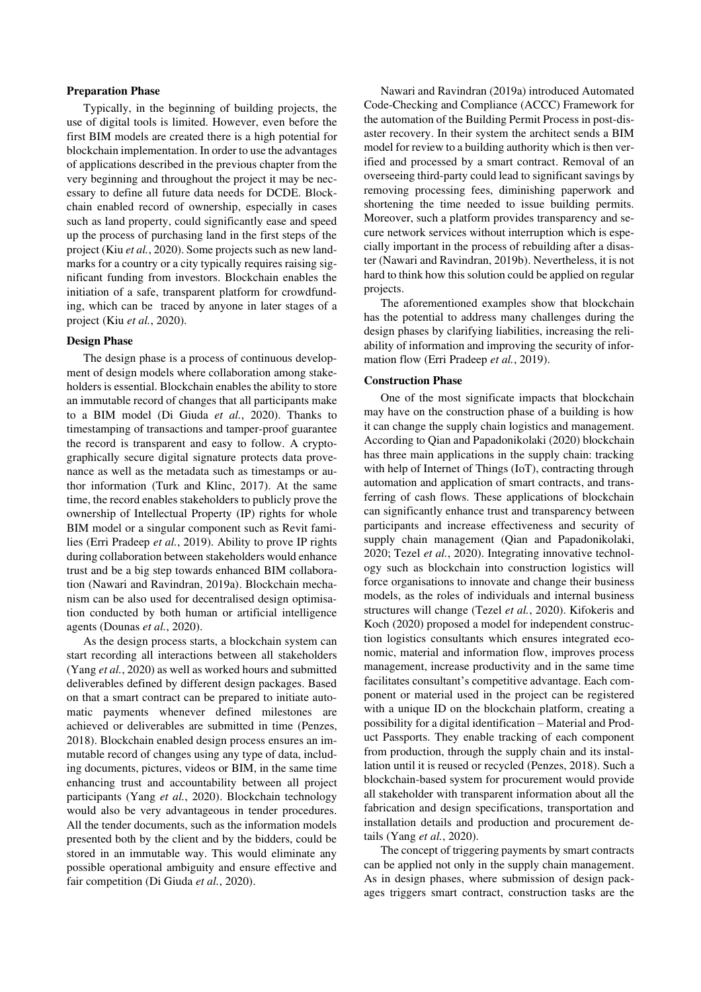#### **Preparation Phase**

Typically, in the beginning of building projects, the use of digital tools is limited. However, even before the first BIM models are created there is a high potential for blockchain implementation. In order to use the advantages of applications described in the previous chapter from the very beginning and throughout the project it may be necessary to define all future data needs for DCDE. Blockchain enabled record of ownership, especially in cases such as land property, could significantly ease and speed up the process of purchasing land in the first steps of the project (Kiu *et al.*, 2020). Some projects such as new landmarks for a country or a city typically requires raising significant funding from investors. Blockchain enables the initiation of a safe, transparent platform for crowdfunding, which can be traced by anyone in later stages of a project (Kiu *et al.*, 2020).

#### **Design Phase**

The design phase is a process of continuous development of design models where collaboration among stakeholders is essential. Blockchain enables the ability to store an immutable record of changes that all participants make to a BIM model (Di Giuda *et al.*, 2020). Thanks to timestamping of transactions and tamper-proof guarantee the record is transparent and easy to follow. A cryptographically secure digital signature protects data provenance as well as the metadata such as timestamps or author information (Turk and Klinc, 2017). At the same time, the record enables stakeholders to publicly prove the ownership of Intellectual Property (IP) rights for whole BIM model or a singular component such as Revit families (Erri Pradeep *et al.*, 2019). Ability to prove IP rights during collaboration between stakeholders would enhance trust and be a big step towards enhanced BIM collaboration (Nawari and Ravindran, 2019a). Blockchain mechanism can be also used for decentralised design optimisation conducted by both human or artificial intelligence agents (Dounas *et al.*, 2020).

As the design process starts, a blockchain system can start recording all interactions between all stakeholders (Yang *et al.*, 2020) as well as worked hours and submitted deliverables defined by different design packages. Based on that a smart contract can be prepared to initiate automatic payments whenever defined milestones are achieved or deliverables are submitted in time (Penzes, 2018). Blockchain enabled design process ensures an immutable record of changes using any type of data, including documents, pictures, videos or BIM, in the same time enhancing trust and accountability between all project participants (Yang *et al.*, 2020). Blockchain technology would also be very advantageous in tender procedures. All the tender documents, such as the information models presented both by the client and by the bidders, could be stored in an immutable way. This would eliminate any possible operational ambiguity and ensure effective and fair competition (Di Giuda *et al.*, 2020).

Nawari and Ravindran (2019a) introduced Automated Code-Checking and Compliance (ACCC) Framework for the automation of the Building Permit Process in post-disaster recovery. In their system the architect sends a BIM model for review to a building authority which is then verified and processed by a smart contract. Removal of an overseeing third-party could lead to significant savings by removing processing fees, diminishing paperwork and shortening the time needed to issue building permits. Moreover, such a platform provides transparency and secure network services without interruption which is especially important in the process of rebuilding after a disaster (Nawari and Ravindran, 2019b). Nevertheless, it is not hard to think how this solution could be applied on regular projects.

The aforementioned examples show that blockchain has the potential to address many challenges during the design phases by clarifying liabilities, increasing the reliability of information and improving the security of information flow (Erri Pradeep *et al.*, 2019).

### **Construction Phase**

One of the most significate impacts that blockchain may have on the construction phase of a building is how it can change the supply chain logistics and management. According to Qian and Papadonikolaki (2020) blockchain has three main applications in the supply chain: tracking with help of Internet of Things (IoT), contracting through automation and application of smart contracts, and transferring of cash flows. These applications of blockchain can significantly enhance trust and transparency between participants and increase effectiveness and security of supply chain management (Qian and Papadonikolaki, 2020; Tezel *et al.*, 2020). Integrating innovative technology such as blockchain into construction logistics will force organisations to innovate and change their business models, as the roles of individuals and internal business structures will change (Tezel *et al.*, 2020). Kifokeris and Koch (2020) proposed a model for independent construction logistics consultants which ensures integrated economic, material and information flow, improves process management, increase productivity and in the same time facilitates consultant's competitive advantage. Each component or material used in the project can be registered with a unique ID on the blockchain platform, creating a possibility for a digital identification – Material and Product Passports. They enable tracking of each component from production, through the supply chain and its installation until it is reused or recycled (Penzes, 2018). Such a blockchain-based system for procurement would provide all stakeholder with transparent information about all the fabrication and design specifications, transportation and installation details and production and procurement details (Yang *et al.*, 2020).

The concept of triggering payments by smart contracts can be applied not only in the supply chain management. As in design phases, where submission of design packages triggers smart contract, construction tasks are the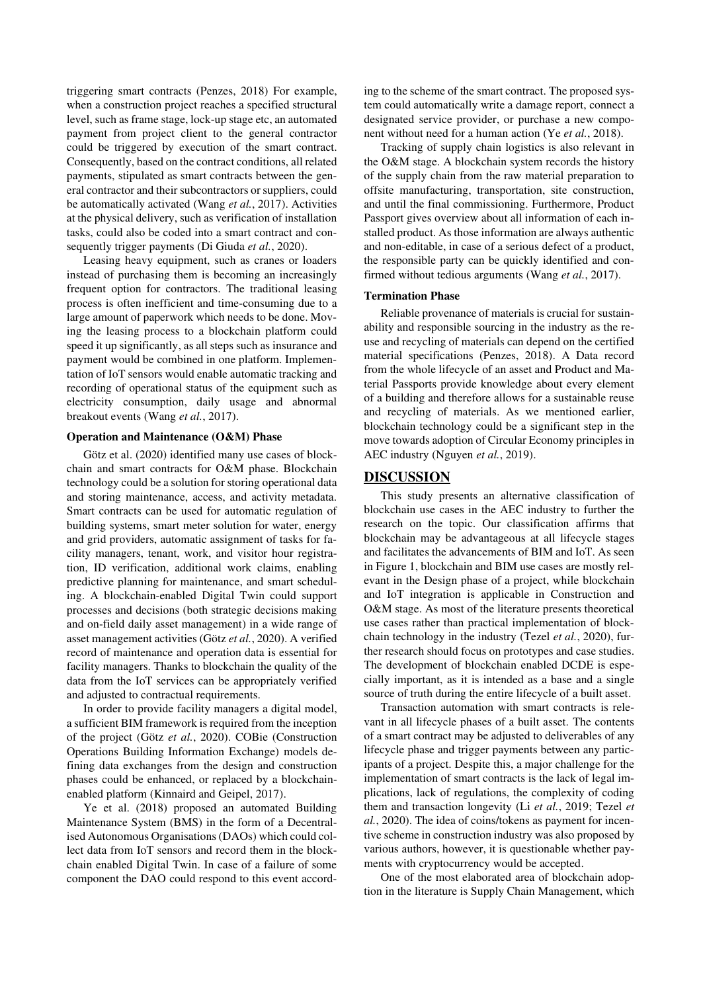triggering smart contracts (Penzes, 2018) For example, when a construction project reaches a specified structural level, such as frame stage, lock-up stage etc, an automated payment from project client to the general contractor could be triggered by execution of the smart contract. Consequently, based on the contract conditions, all related payments, stipulated as smart contracts between the general contractor and their subcontractors or suppliers, could be automatically activated (Wang *et al.*, 2017). Activities at the physical delivery, such as verification of installation tasks, could also be coded into a smart contract and consequently trigger payments (Di Giuda *et al.*, 2020).

Leasing heavy equipment, such as cranes or loaders instead of purchasing them is becoming an increasingly frequent option for contractors. The traditional leasing process is often inefficient and time-consuming due to a large amount of paperwork which needs to be done. Moving the leasing process to a blockchain platform could speed it up significantly, as all steps such as insurance and payment would be combined in one platform. Implementation of IoT sensors would enable automatic tracking and recording of operational status of the equipment such as electricity consumption, daily usage and abnormal breakout events (Wang *et al.*, 2017).

#### **Operation and Maintenance (O&M) Phase**

Götz et al. (2020) identified many use cases of blockchain and smart contracts for O&M phase. Blockchain technology could be a solution for storing operational data and storing maintenance, access, and activity metadata. Smart contracts can be used for automatic regulation of building systems, smart meter solution for water, energy and grid providers, automatic assignment of tasks for facility managers, tenant, work, and visitor hour registration, ID verification, additional work claims, enabling predictive planning for maintenance, and smart scheduling. A blockchain-enabled Digital Twin could support processes and decisions (both strategic decisions making and on-field daily asset management) in a wide range of asset management activities (Götz *et al.*, 2020). A verified record of maintenance and operation data is essential for facility managers. Thanks to blockchain the quality of the data from the IoT services can be appropriately verified and adjusted to contractual requirements.

In order to provide facility managers a digital model, a sufficient BIM framework is required from the inception of the project (Götz *et al.*, 2020). COBie (Construction Operations Building Information Exchange) models defining data exchanges from the design and construction phases could be enhanced, or replaced by a blockchainenabled platform (Kinnaird and Geipel, 2017).

Ye et al. (2018) proposed an automated Building Maintenance System (BMS) in the form of a Decentralised Autonomous Organisations (DAOs) which could collect data from IoT sensors and record them in the blockchain enabled Digital Twin. In case of a failure of some component the DAO could respond to this event according to the scheme of the smart contract. The proposed system could automatically write a damage report, connect a designated service provider, or purchase a new component without need for a human action (Ye *et al.*, 2018).

Tracking of supply chain logistics is also relevant in the O&M stage. A blockchain system records the history of the supply chain from the raw material preparation to offsite manufacturing, transportation, site construction, and until the final commissioning. Furthermore, Product Passport gives overview about all information of each installed product. As those information are always authentic and non-editable, in case of a serious defect of a product, the responsible party can be quickly identified and confirmed without tedious arguments (Wang *et al.*, 2017).

### **Termination Phase**

Reliable provenance of materials is crucial for sustainability and responsible sourcing in the industry as the reuse and recycling of materials can depend on the certified material specifications (Penzes, 2018). A Data record from the whole lifecycle of an asset and Product and Material Passports provide knowledge about every element of a building and therefore allows for a sustainable reuse and recycling of materials. As we mentioned earlier, blockchain technology could be a significant step in the move towards adoption of Circular Economy principles in AEC industry (Nguyen *et al.*, 2019).

## **DISCUSSION**

This study presents an alternative classification of blockchain use cases in the AEC industry to further the research on the topic. Our classification affirms that blockchain may be advantageous at all lifecycle stages and facilitates the advancements of BIM and IoT. As seen in Figure 1, blockchain and BIM use cases are mostly relevant in the Design phase of a project, while blockchain and IoT integration is applicable in Construction and O&M stage. As most of the literature presents theoretical use cases rather than practical implementation of blockchain technology in the industry (Tezel *et al.*, 2020), further research should focus on prototypes and case studies. The development of blockchain enabled DCDE is especially important, as it is intended as a base and a single source of truth during the entire lifecycle of a built asset.

Transaction automation with smart contracts is relevant in all lifecycle phases of a built asset. The contents of a smart contract may be adjusted to deliverables of any lifecycle phase and trigger payments between any participants of a project. Despite this, a major challenge for the implementation of smart contracts is the lack of legal implications, lack of regulations, the complexity of coding them and transaction longevity (Li *et al.*, 2019; Tezel *et al.*, 2020). The idea of coins/tokens as payment for incentive scheme in construction industry was also proposed by various authors, however, it is questionable whether payments with cryptocurrency would be accepted.

One of the most elaborated area of blockchain adoption in the literature is Supply Chain Management, which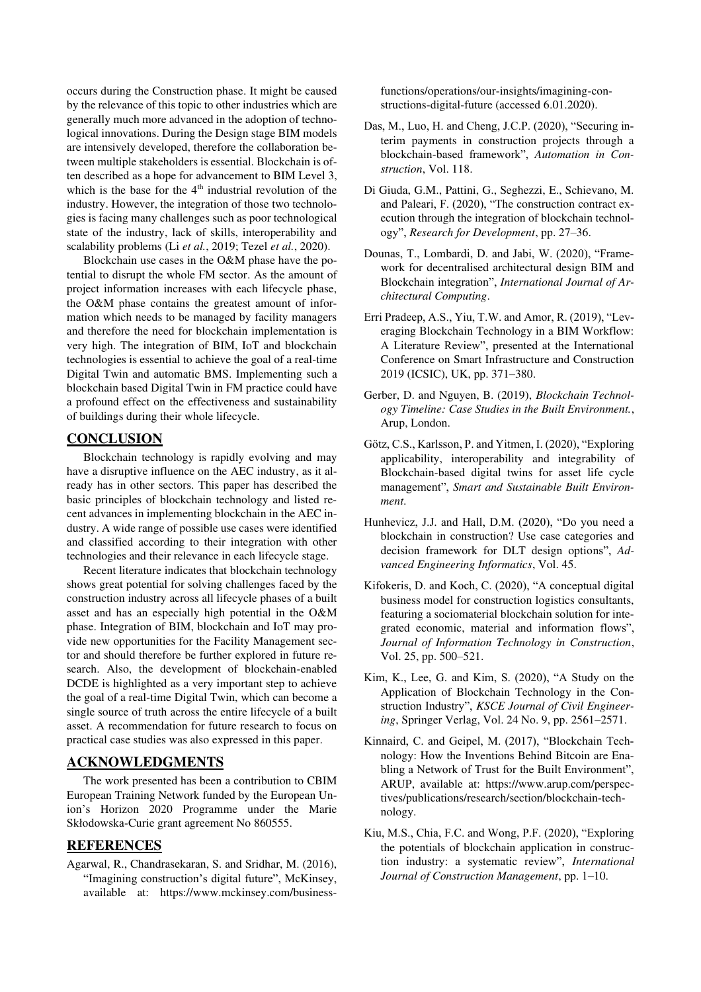occurs during the Construction phase. It might be caused by the relevance of this topic to other industries which are generally much more advanced in the adoption of technological innovations. During the Design stage BIM models are intensively developed, therefore the collaboration between multiple stakeholders is essential. Blockchain is often described as a hope for advancement to BIM Level 3, which is the base for the 4<sup>th</sup> industrial revolution of the industry. However, the integration of those two technologies is facing many challenges such as poor technological state of the industry, lack of skills, interoperability and scalability problems (Li *et al.*, 2019; Tezel *et al.*, 2020).

Blockchain use cases in the O&M phase have the potential to disrupt the whole FM sector. As the amount of project information increases with each lifecycle phase, the O&M phase contains the greatest amount of information which needs to be managed by facility managers and therefore the need for blockchain implementation is very high. The integration of BIM, IoT and blockchain technologies is essential to achieve the goal of a real-time Digital Twin and automatic BMS. Implementing such a blockchain based Digital Twin in FM practice could have a profound effect on the effectiveness and sustainability of buildings during their whole lifecycle.

## **CONCLUSION**

Blockchain technology is rapidly evolving and may have a disruptive influence on the AEC industry, as it already has in other sectors. This paper has described the basic principles of blockchain technology and listed recent advances in implementing blockchain in the AEC industry. A wide range of possible use cases were identified and classified according to their integration with other technologies and their relevance in each lifecycle stage.

Recent literature indicates that blockchain technology shows great potential for solving challenges faced by the construction industry across all lifecycle phases of a built asset and has an especially high potential in the O&M phase. Integration of BIM, blockchain and IoT may provide new opportunities for the Facility Management sector and should therefore be further explored in future research. Also, the development of blockchain-enabled DCDE is highlighted as a very important step to achieve the goal of a real-time Digital Twin, which can become a single source of truth across the entire lifecycle of a built asset. A recommendation for future research to focus on practical case studies was also expressed in this paper.

### **ACKNOWLEDGMENTS**

The work presented has been a contribution to CBIM European Training Network funded by the European Union's Horizon 2020 Programme under the Marie Skłodowska-Curie grant agreement No 860555.

### **REFERENCES**

Agarwal, R., Chandrasekaran, S. and Sridhar, M. (2016), "Imagining construction's digital future", McKinsey, available at: https://www.mckinsey.com/businessfunctions/operations/our-insights/imagining-constructions-digital-future (accessed 6.01.2020).

- Das, M., Luo, H. and Cheng, J.C.P. (2020), "Securing interim payments in construction projects through a blockchain-based framework", *Automation in Construction*, Vol. 118.
- Di Giuda, G.M., Pattini, G., Seghezzi, E., Schievano, M. and Paleari, F. (2020), "The construction contract execution through the integration of blockchain technology", *Research for Development*, pp. 27–36.
- Dounas, T., Lombardi, D. and Jabi, W. (2020), "Framework for decentralised architectural design BIM and Blockchain integration", *International Journal of Architectural Computing*.
- Erri Pradeep, A.S., Yiu, T.W. and Amor, R. (2019), "Leveraging Blockchain Technology in a BIM Workflow: A Literature Review", presented at the International Conference on Smart Infrastructure and Construction 2019 (ICSIC), UK, pp. 371–380.
- Gerber, D. and Nguyen, B. (2019), *Blockchain Technology Timeline: Case Studies in the Built Environment.*, Arup, London.
- Götz, C.S., Karlsson, P. and Yitmen, I. (2020), "Exploring applicability, interoperability and integrability of Blockchain-based digital twins for asset life cycle management", *Smart and Sustainable Built Environment*.
- Hunhevicz, J.J. and Hall, D.M. (2020), "Do you need a blockchain in construction? Use case categories and decision framework for DLT design options", *Advanced Engineering Informatics*, Vol. 45.
- Kifokeris, D. and Koch, C. (2020), "A conceptual digital business model for construction logistics consultants, featuring a sociomaterial blockchain solution for integrated economic, material and information flows", *Journal of Information Technology in Construction*, Vol. 25, pp. 500–521.
- Kim, K., Lee, G. and Kim, S. (2020), "A Study on the Application of Blockchain Technology in the Construction Industry", *KSCE Journal of Civil Engineering*, Springer Verlag, Vol. 24 No. 9, pp. 2561–2571.
- Kinnaird, C. and Geipel, M. (2017), "Blockchain Technology: How the Inventions Behind Bitcoin are Enabling a Network of Trust for the Built Environment", ARUP, available at: https://www.arup.com/perspectives/publications/research/section/blockchain-technology.
- Kiu, M.S., Chia, F.C. and Wong, P.F. (2020), "Exploring the potentials of blockchain application in construction industry: a systematic review", *International Journal of Construction Management*, pp. 1–10.